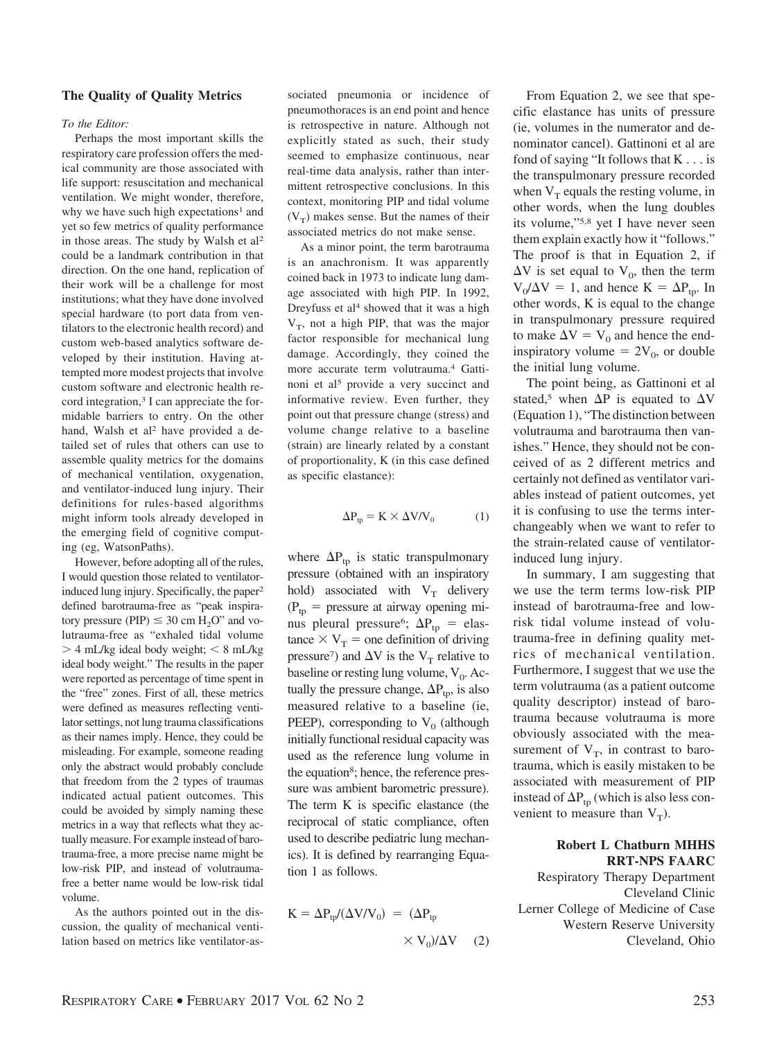#### **The Quality of Quality Metrics**

#### *To the Editor:*

Perhaps the most important skills the respiratory care profession offers the medical community are those associated with life support: resuscitation and mechanical ventilation. We might wonder, therefore, why we have such high expectations<sup>1</sup> and yet so few metrics of quality performance in those areas. The study by Walsh et al2 could be a landmark contribution in that direction. On the one hand, replication of their work will be a challenge for most institutions; what they have done involved special hardware (to port data from ventilators to the electronic health record) and custom web-based analytics software developed by their institution. Having attempted more modest projects that involve custom software and electronic health record integration,<sup>3</sup> I can appreciate the formidable barriers to entry. On the other hand, Walsh et al<sup>2</sup> have provided a detailed set of rules that others can use to assemble quality metrics for the domains of mechanical ventilation, oxygenation, and ventilator-induced lung injury. Their definitions for rules-based algorithms might inform tools already developed in the emerging field of cognitive computing (eg, WatsonPaths).

However, before adopting all of the rules, I would question those related to ventilatorinduced lung injury. Specifically, the paper<sup>2</sup> defined barotrauma-free as "peak inspiratory pressure (PIP)  $\leq 30$  cm H<sub>2</sub>O" and volutrauma-free as "exhaled tidal volume - 4 mL/kg ideal body weight; 8 mL/kg ideal body weight." The results in the paper were reported as percentage of time spent in the "free" zones. First of all, these metrics were defined as measures reflecting ventilator settings, not lung trauma classifications as their names imply. Hence, they could be misleading. For example, someone reading only the abstract would probably conclude that freedom from the 2 types of traumas indicated actual patient outcomes. This could be avoided by simply naming these metrics in a way that reflects what they actually measure. For example instead of barotrauma-free, a more precise name might be low-risk PIP, and instead of volutraumafree a better name would be low-risk tidal volume.

As the authors pointed out in the discussion, the quality of mechanical ventilation based on metrics like ventilator-associated pneumonia or incidence of pneumothoraces is an end point and hence is retrospective in nature. Although not explicitly stated as such, their study seemed to emphasize continuous, near real-time data analysis, rather than intermittent retrospective conclusions. In this context, monitoring PIP and tidal volume  $(V_T)$  makes sense. But the names of their associated metrics do not make sense.

As a minor point, the term barotrauma is an anachronism. It was apparently coined back in 1973 to indicate lung damage associated with high PIP. In 1992, Dreyfuss et al<sup>4</sup> showed that it was a high  $V_T$ , not a high PIP, that was the major factor responsible for mechanical lung damage. Accordingly, they coined the more accurate term volutrauma.4 Gattinoni et al<sup>5</sup> provide a very succinct and informative review. Even further, they point out that pressure change (stress) and volume change relative to a baseline (strain) are linearly related by a constant of proportionality, K (in this case defined as specific elastance):

$$
\Delta P_{tp} = K \times \Delta V/V_0 \tag{1}
$$

where  $\Delta P_{tp}$  is static transpulmonary pressure (obtained with an inspiratory hold) associated with  $V_T$  delivery  $(P_{\text{tp}} =$  pressure at airway opening minus pleural pressure<sup>6</sup>;  $\Delta P_{tp}$  = elastance  $\times$  V<sub>T</sub> = one definition of driving pressure<sup>7</sup>) and  $\Delta V$  is the V<sub>T</sub> relative to baseline or resting lung volume,  $V_0$ . Actually the pressure change,  $\Delta P_{\text{tp}}$ , is also measured relative to a baseline (ie, PEEP), corresponding to  $V_0$  (although initially functional residual capacity was used as the reference lung volume in the equation<sup>8</sup>; hence, the reference pressure was ambient barometric pressure). The term K is specific elastance (the reciprocal of static compliance, often used to describe pediatric lung mechanics). It is defined by rearranging Equation 1 as follows.

$$
K = \Delta P_{tp} / (\Delta V / V_0) = (\Delta P_{tp}
$$

$$
\times V_0) / \Delta V \qquad (2)
$$

From Equation 2, we see that specific elastance has units of pressure (ie, volumes in the numerator and denominator cancel). Gattinoni et al are fond of saying "It follows that K . . . is the transpulmonary pressure recorded when  $V_T$  equals the resting volume, in other words, when the lung doubles its volume,"5,8 yet I have never seen them explain exactly how it "follows." The proof is that in Equation 2, if  $\Delta V$  is set equal to  $V_0$ , then the term  $V_0/\Delta V = 1$ , and hence  $K = \Delta P_{tp}$ . In other words, K is equal to the change in transpulmonary pressure required to make  $\Delta V = V_0$  and hence the endinspiratory volume =  $2V_0$ , or double the initial lung volume.

The point being, as Gattinoni et al stated,<sup>5</sup> when  $\Delta P$  is equated to  $\Delta V$ (Equation 1), "The distinction between volutrauma and barotrauma then vanishes." Hence, they should not be conceived of as 2 different metrics and certainly not defined as ventilator variables instead of patient outcomes, yet it is confusing to use the terms interchangeably when we want to refer to the strain-related cause of ventilatorinduced lung injury.

In summary, I am suggesting that we use the term terms low-risk PIP instead of barotrauma-free and lowrisk tidal volume instead of volutrauma-free in defining quality metrics of mechanical ventilation. Furthermore, I suggest that we use the term volutrauma (as a patient outcome quality descriptor) instead of barotrauma because volutrauma is more obviously associated with the measurement of  $V_T$ , in contrast to barotrauma, which is easily mistaken to be associated with measurement of PIP instead of  $\Delta P_{\text{tp}}$  (which is also less convenient to measure than  $V_T$ ).

## **Robert L Chatburn MHHS RRT-NPS FAARC**

Respiratory Therapy Department Cleveland Clinic Lerner College of Medicine of Case Western Reserve University Cleveland, Ohio